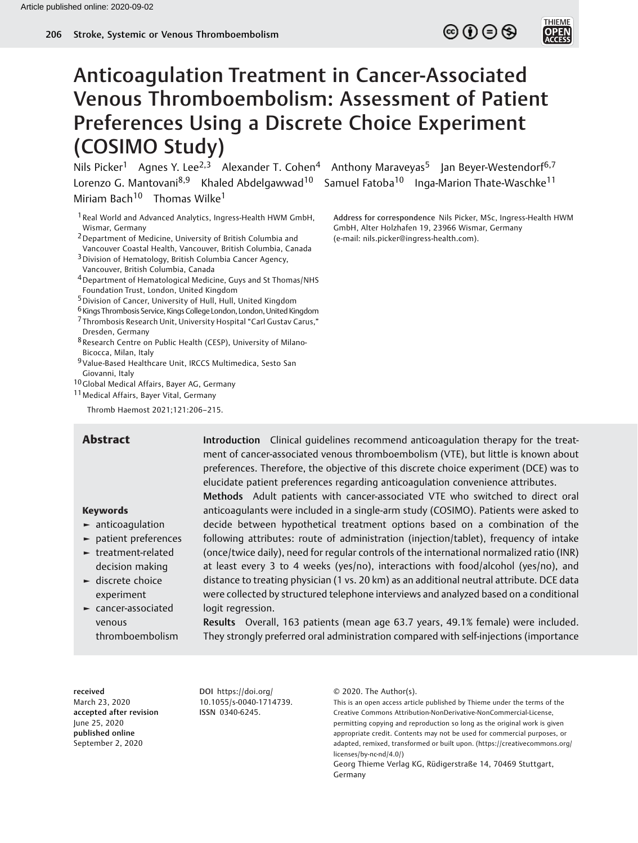$\circledcirc \circ \circ$ 

Address for correspondence Nils Picker, MSc, Ingress-Health HWM

GmbH, Alter Holzhafen 19, 23966 Wismar, Germany

(e-mail: [nils.picker@ingress-health.com\)](mailto:nils.picker@ingress-health.com).



# Anticoagulation Treatment in Cancer-Associated Venous Thromboembolism: Assessment of Patient Preferences Using a Discrete Choice Experiment (COSIMO Study)

Nils Picker<sup>1</sup> Agnes Y. Lee<sup>2,3</sup> Alexander T. Cohen<sup>4</sup> Anthony Maraveyas<sup>5</sup> Jan Beyer-Westendorf<sup>6,7</sup> Lorenzo G. Mantovani<sup>8,9</sup> Khaled Abdelgawwad<sup>10</sup> Samuel Fatoba<sup>10</sup> Inga-Marion Thate-Waschke<sup>11</sup> Miriam Bach<sup>10</sup> Thomas Wilke<sup>1</sup>

- 1Real World and Advanced Analytics, Ingress-Health HWM GmbH, Wismar, Germany
- 2Department of Medicine, University of British Columbia and
- Vancouver Coastal Health, Vancouver, British Columbia, Canada
- 3Division of Hematology, British Columbia Cancer Agency, Vancouver, British Columbia, Canada
- 4Department of Hematological Medicine, Guys and St Thomas/NHS Foundation Trust, London, United Kingdom
- 5Division of Cancer, University of Hull, Hull, United Kingdom
- <sup>6</sup> Kings Thrombosis Service, Kings College London, London, United Kingdom
- 7 Thrombosis Research Unit, University Hospital "Carl Gustav Carus," Dresden, Germany
- 8Research Centre on Public Health (CESP), University of Milano-Bicocca, Milan, Italy
- 9Value-Based Healthcare Unit, IRCCS Multimedica, Sesto San Giovanni, Italy
- 10Global Medical Affairs, Bayer AG, Germany

11 Medical Affairs, Bayer Vital, Germany

Thromb Haemost 2021;121:206–215.

## Keywords

- ► anticoagulation
- ► patient preferences
- ► treatment-related decision making
- ► discrete choice experiment
- ► cancer-associated venous thromboembolism

Abstract Introduction Clinical guidelines recommend anticoagulation therapy for the treatment of cancer-associated venous thromboembolism (VTE), but little is known about preferences. Therefore, the objective of this discrete choice experiment (DCE) was to elucidate patient preferences regarding anticoagulation convenience attributes. Methods Adult patients with cancer-associated VTE who switched to direct oral anticoagulants were included in a single-arm study (COSIMO). Patients were asked to decide between hypothetical treatment options based on a combination of the following attributes: route of administration (injection/tablet), frequency of intake (once/twice daily), need for regular controls of the international normalized ratio (INR) at least every 3 to 4 weeks (yes/no), interactions with food/alcohol (yes/no), and distance to treating physician (1 vs. 20 km) as an additional neutral attribute. DCE data were collected by structured telephone interviews and analyzed based on a conditional logit regression.

> Results Overall, 163 patients (mean age 63.7 years, 49.1% female) were included. They strongly preferred oral administration compared with self-injections (importance

received March 23, 2020 accepted after revision June 25, 2020 published online September 2, 2020

DOI [https://doi.org/](https://doi.org/10.1055/s-0040-1714739) [10.1055/s-0040-1714739](https://doi.org/10.1055/s-0040-1714739). ISSN 0340-6245.

© 2020. The Author(s).

This is an open access article published by Thieme under the terms of the Creative Commons Attribution-NonDerivative-NonCommercial-License, permitting copying and reproduction so long as the original work is given appropriate credit. Contents may not be used for commercial purposes, or adapted, remixed, transformed or built upon. (https://creativecommons.org/ licenses/by-nc-nd/4.0/)

Georg Thieme Verlag KG, Rüdigerstraße 14, 70469 Stuttgart, Germany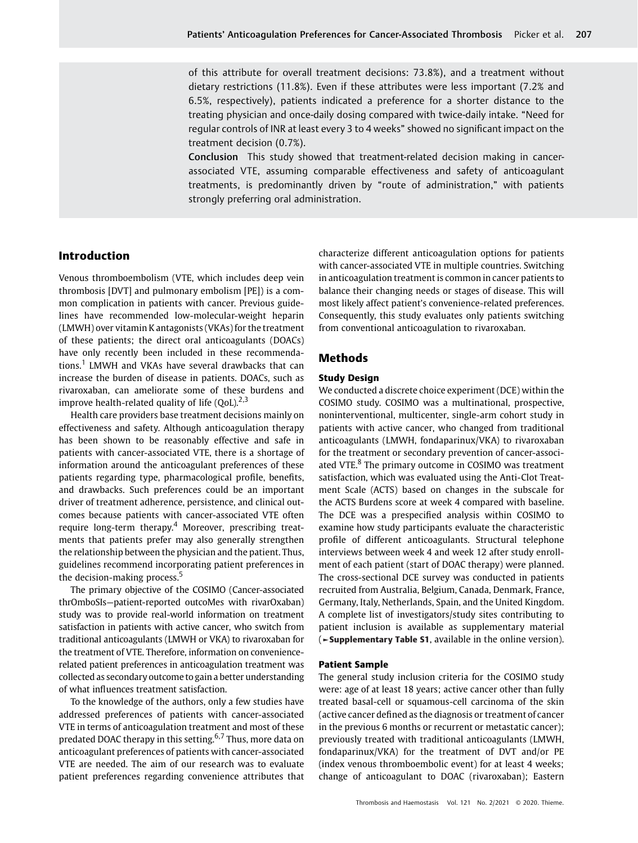of this attribute for overall treatment decisions: 73.8%), and a treatment without dietary restrictions (11.8%). Even if these attributes were less important (7.2% and 6.5%, respectively), patients indicated a preference for a shorter distance to the treating physician and once-daily dosing compared with twice-daily intake. "Need for regular controls of INR at least every 3 to 4 weeks" showed no significant impact on the treatment decision (0.7%).

Conclusion This study showed that treatment-related decision making in cancerassociated VTE, assuming comparable effectiveness and safety of anticoagulant treatments, is predominantly driven by "route of administration," with patients strongly preferring oral administration.

#### Introduction

Venous thromboembolism (VTE, which includes deep vein thrombosis [DVT] and pulmonary embolism [PE]) is a common complication in patients with cancer. Previous guidelines have recommended low-molecular-weight heparin (LMWH) over vitamin K antagonists (VKAs) for the treatment of these patients; the direct oral anticoagulants (DOACs) have only recently been included in these recommendations.<sup>1</sup> LMWH and VKAs have several drawbacks that can increase the burden of disease in patients. DOACs, such as rivaroxaban, can ameliorate some of these burdens and improve health-related quality of life  $(QoL)^{2,3}$ 

Health care providers base treatment decisions mainly on effectiveness and safety. Although anticoagulation therapy has been shown to be reasonably effective and safe in patients with cancer-associated VTE, there is a shortage of information around the anticoagulant preferences of these patients regarding type, pharmacological profile, benefits, and drawbacks. Such preferences could be an important driver of treatment adherence, persistence, and clinical outcomes because patients with cancer-associated VTE often require long-term therapy.<sup>4</sup> Moreover, prescribing treatments that patients prefer may also generally strengthen the relationship between the physician and the patient. Thus, guidelines recommend incorporating patient preferences in the decision-making process.<sup>5</sup>

The primary objective of the COSIMO (Cancer-associated thrOmboSIs—patient-reported outcoMes with rivarOxaban) study was to provide real-world information on treatment satisfaction in patients with active cancer, who switch from traditional anticoagulants (LMWH or VKA) to rivaroxaban for the treatment of VTE. Therefore, information on conveniencerelated patient preferences in anticoagulation treatment was collected as secondary outcome to gain a better understanding of what influences treatment satisfaction.

To the knowledge of the authors, only a few studies have addressed preferences of patients with cancer-associated VTE in terms of anticoagulation treatment and most of these predated DOAC therapy in this setting.<sup>6,7</sup> Thus, more data on anticoagulant preferences of patients with cancer-associated VTE are needed. The aim of our research was to evaluate patient preferences regarding convenience attributes that characterize different anticoagulation options for patients with cancer-associated VTE in multiple countries. Switching in anticoagulation treatment is common in cancer patients to balance their changing needs or stages of disease. This will most likely affect patient's convenience-related preferences. Consequently, this study evaluates only patients switching from conventional anticoagulation to rivaroxaban.

#### Methods

#### Study Design

We conducted a discrete choice experiment (DCE) within the COSIMO study. COSIMO was a multinational, prospective, noninterventional, multicenter, single-arm cohort study in patients with active cancer, who changed from traditional anticoagulants (LMWH, fondaparinux/VKA) to rivaroxaban for the treatment or secondary prevention of cancer-associated VTE.<sup>8</sup> The primary outcome in COSIMO was treatment satisfaction, which was evaluated using the Anti-Clot Treatment Scale (ACTS) based on changes in the subscale for the ACTS Burdens score at week 4 compared with baseline. The DCE was a prespecified analysis within COSIMO to examine how study participants evaluate the characteristic profile of different anticoagulants. Structural telephone interviews between week 4 and week 12 after study enrollment of each patient (start of DOAC therapy) were planned. The cross-sectional DCE survey was conducted in patients recruited from Australia, Belgium, Canada, Denmark, France, Germany, Italy, Netherlands, Spain, and the United Kingdom. A complete list of investigators/study sites contributing to patient inclusion is available as supplementary material (►Supplementary Table S1, available in the online version).

#### Patient Sample

The general study inclusion criteria for the COSIMO study were: age of at least 18 years; active cancer other than fully treated basal-cell or squamous-cell carcinoma of the skin (active cancer defined as the diagnosis or treatment of cancer in the previous 6 months or recurrent or metastatic cancer); previously treated with traditional anticoagulants (LMWH, fondaparinux/VKA) for the treatment of DVT and/or PE (index venous thromboembolic event) for at least 4 weeks; change of anticoagulant to DOAC (rivaroxaban); Eastern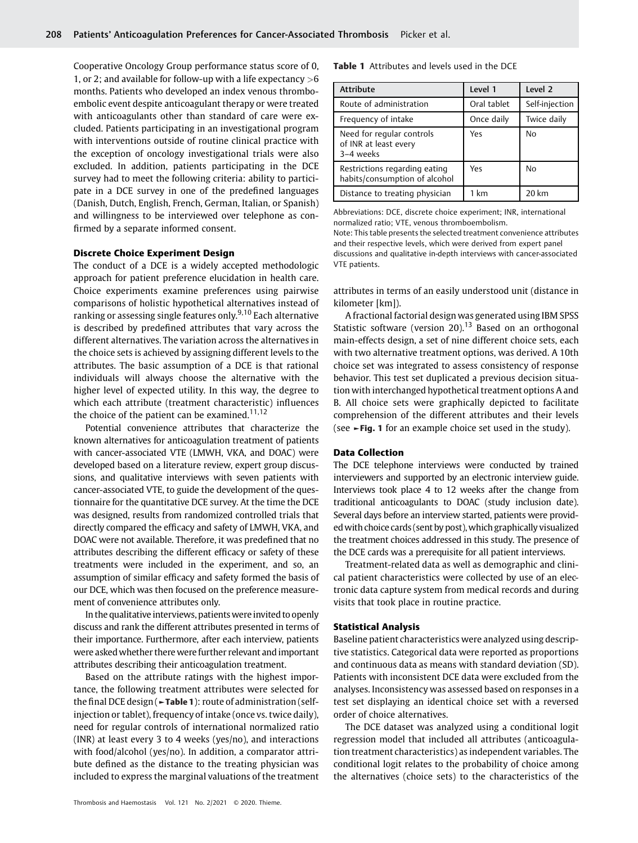Cooperative Oncology Group performance status score of 0, 1, or 2; and available for follow-up with a life expectancy  $>$ 6 months. Patients who developed an index venous thromboembolic event despite anticoagulant therapy or were treated with anticoagulants other than standard of care were excluded. Patients participating in an investigational program with interventions outside of routine clinical practice with the exception of oncology investigational trials were also excluded. In addition, patients participating in the DCE survey had to meet the following criteria: ability to participate in a DCE survey in one of the predefined languages (Danish, Dutch, English, French, German, Italian, or Spanish) and willingness to be interviewed over telephone as confirmed by a separate informed consent.

#### Discrete Choice Experiment Design

The conduct of a DCE is a widely accepted methodologic approach for patient preference elucidation in health care. Choice experiments examine preferences using pairwise comparisons of holistic hypothetical alternatives instead of ranking or assessing single features only.<sup>9,10</sup> Each alternative is described by predefined attributes that vary across the different alternatives. The variation across the alternatives in the choice sets is achieved by assigning different levels to the attributes. The basic assumption of a DCE is that rational individuals will always choose the alternative with the higher level of expected utility. In this way, the degree to which each attribute (treatment characteristic) influences the choice of the patient can be examined.<sup>11,12</sup>

Potential convenience attributes that characterize the known alternatives for anticoagulation treatment of patients with cancer-associated VTE (LMWH, VKA, and DOAC) were developed based on a literature review, expert group discussions, and qualitative interviews with seven patients with cancer-associated VTE, to guide the development of the questionnaire for the quantitative DCE survey. At the time the DCE was designed, results from randomized controlled trials that directly compared the efficacy and safety of LMWH, VKA, and DOAC were not available. Therefore, it was predefined that no attributes describing the different efficacy or safety of these treatments were included in the experiment, and so, an assumption of similar efficacy and safety formed the basis of our DCE, which was then focused on the preference measurement of convenience attributes only.

In the qualitative interviews, patients were invited to openly discuss and rank the different attributes presented in terms of their importance. Furthermore, after each interview, patients were askedwhether there were further relevant and important attributes describing their anticoagulation treatment.

Based on the attribute ratings with the highest importance, the following treatment attributes were selected for the final DCE design ( $\blacktriangleright$ Table 1): route of administration (selfinjection or tablet), frequency of intake (once vs. twice daily), need for regular controls of international normalized ratio (INR) at least every 3 to 4 weeks (yes/no), and interactions with food/alcohol (yes/no). In addition, a comparator attribute defined as the distance to the treating physician was included to express the marginal valuations of the treatment Table 1 Attributes and levels used in the DCE

| Attribute                                                       | Level 1     | Level <sub>2</sub> |
|-----------------------------------------------------------------|-------------|--------------------|
| Route of administration                                         | Oral tablet | Self-injection     |
| Frequency of intake                                             | Once daily  | Twice daily        |
| Need for regular controls<br>of INR at least every<br>3-4 weeks | Yes         | No                 |
| Restrictions regarding eating<br>habits/consumption of alcohol  | Yes         | No                 |
| Distance to treating physician                                  | km          | $20 \mathrm{km}$   |

Abbreviations: DCE, discrete choice experiment; INR, international normalized ratio; VTE, venous thromboembolism.

Note: This table presents the selected treatment convenience attributes and their respective levels, which were derived from expert panel discussions and qualitative in-depth interviews with cancer-associated VTE patients.

attributes in terms of an easily understood unit (distance in kilometer [km]).

A fractional factorial design was generated using IBM SPSS Statistic software (version 20).<sup>13</sup> Based on an orthogonal main-effects design, a set of nine different choice sets, each with two alternative treatment options, was derived. A 10th choice set was integrated to assess consistency of response behavior. This test set duplicated a previous decision situation with interchanged hypothetical treatment options A and B. All choice sets were graphically depicted to facilitate comprehension of the different attributes and their levels (see ►Fig. 1 for an example choice set used in the study).

#### Data Collection

The DCE telephone interviews were conducted by trained interviewers and supported by an electronic interview guide. Interviews took place 4 to 12 weeks after the change from traditional anticoagulants to DOAC (study inclusion date). Several days before an interview started, patients were providedwith choice cards (sent by post), which graphically visualized the treatment choices addressed in this study. The presence of the DCE cards was a prerequisite for all patient interviews.

Treatment-related data as well as demographic and clinical patient characteristics were collected by use of an electronic data capture system from medical records and during visits that took place in routine practice.

#### Statistical Analysis

Baseline patient characteristics were analyzed using descriptive statistics. Categorical data were reported as proportions and continuous data as means with standard deviation (SD). Patients with inconsistent DCE data were excluded from the analyses. Inconsistency was assessed based on responses in a test set displaying an identical choice set with a reversed order of choice alternatives.

The DCE dataset was analyzed using a conditional logit regression model that included all attributes (anticoagulation treatment characteristics) as independent variables. The conditional logit relates to the probability of choice among the alternatives (choice sets) to the characteristics of the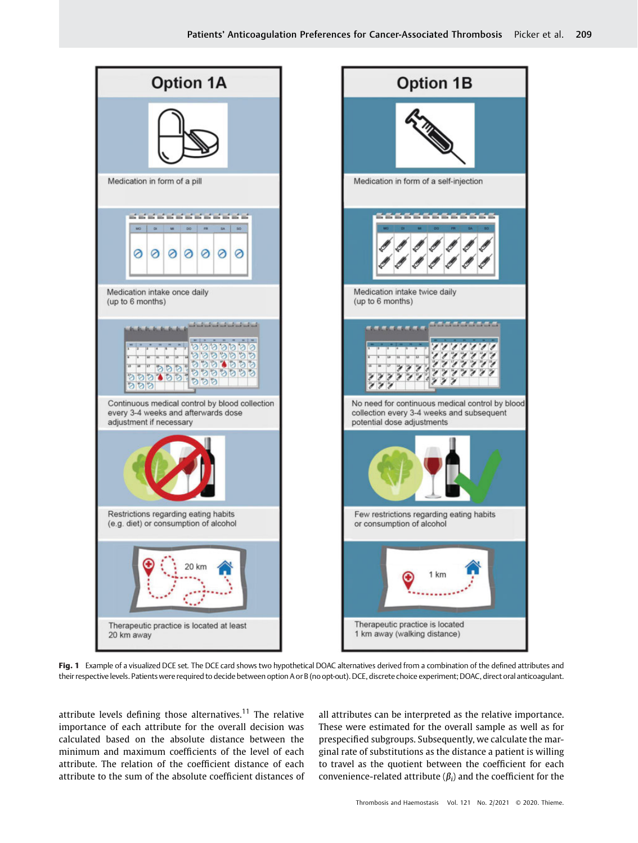

Fig. 1 Example of a visualized DCE set. The DCE card shows two hypothetical DOAC alternatives derived from a combination of the defined attributes and their respective levels. Patients were required to decide between option A or B (no opt-out). DCE, discrete choice experiment; DOAC, direct oral anticoagulant.

attribute levels defining those alternatives.<sup>11</sup> The relative importance of each attribute for the overall decision was calculated based on the absolute distance between the minimum and maximum coefficients of the level of each attribute. The relation of the coefficient distance of each attribute to the sum of the absolute coefficient distances of

all attributes can be interpreted as the relative importance. These were estimated for the overall sample as well as for prespecified subgroups. Subsequently, we calculate the marginal rate of substitutions as the distance a patient is willing to travel as the quotient between the coefficient for each convenience-related attribute ( $β<sub>i</sub>$ ) and the coefficient for the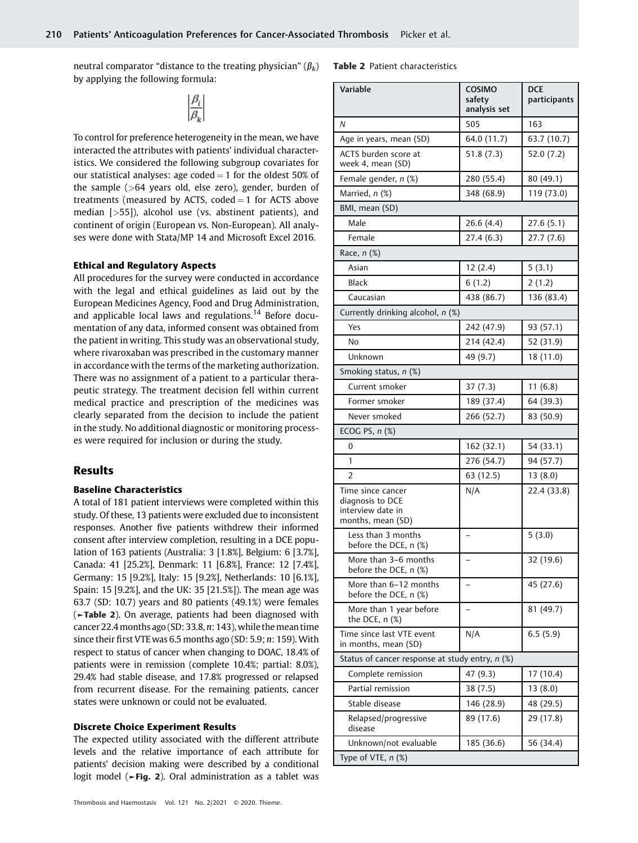neutral comparator "distance to the treating physician"  $(\beta_k)$ by applying the following formula:

 $\frac{\beta_i}{\beta_{\nu}}$ 

To control for preference heterogeneity in the mean, we have interacted the attributes with patients' individual characteristics. We considered the following subgroup covariates for our statistical analyses: age coded  $=$  1 for the oldest 50% of the sample (>64 years old, else zero), gender, burden of treatments (measured by ACTS,  $code = 1$  for ACTS above median [>55]), alcohol use (vs. abstinent patients), and continent of origin (European vs. Non-European). All analyses were done with Stata/MP 14 and Microsoft Excel 2016.

#### Ethical and Regulatory Aspects

All procedures for the survey were conducted in accordance with the legal and ethical guidelines as laid out by the European Medicines Agency, Food and Drug Administration, and applicable local laws and regulations.<sup>14</sup> Before documentation of any data, informed consent was obtained from the patient in writing. This study was an observational study, where rivaroxaban was prescribed in the customary manner in accordance with the terms of the marketing authorization. There was no assignment of a patient to a particular therapeutic strategy. The treatment decision fell within current medical practice and prescription of the medicines was clearly separated from the decision to include the patient in the study. No additional diagnostic or monitoring processes were required for inclusion or during the study.

#### Results

#### Baseline Characteristics

A total of 181 patient interviews were completed within this study. Of these, 13 patients were excluded due to inconsistent responses. Another five patients withdrew their informed consent after interview completion, resulting in a DCE population of 163 patients (Australia: 3 [1.8%], Belgium: 6 [3.7%], Canada: 41 [25.2%], Denmark: 11 [6.8%], France: 12 [7.4%], Germany: 15 [9.2%], Italy: 15 [9.2%], Netherlands: 10 [6.1%], Spain: 15 [9.2%], and the UK: 35 [21.5%]). The mean age was 63.7 (SD: 10.7) years and 80 patients (49.1%) were females (►Table 2). On average, patients had been diagnosed with cancer 22.4months ago (SD: 33.8, n: 143), while the mean time since their first VTE was 6.5 months ago (SD: 5.9;  $n: 159$ ). With respect to status of cancer when changing to DOAC, 18.4% of patients were in remission (complete 10.4%; partial: 8.0%), 29.4% had stable disease, and 17.8% progressed or relapsed from recurrent disease. For the remaining patients, cancer states were unknown or could not be evaluated.

#### Discrete Choice Experiment Results

The expected utility associated with the different attribute levels and the relative importance of each attribute for patients' decision making were described by a conditional logit model (►Fig. 2). Oral administration as a tablet was

| Variable                                                                        | COSIMO<br>safety | DCE<br>participants |  |
|---------------------------------------------------------------------------------|------------------|---------------------|--|
|                                                                                 | analysis set     |                     |  |
| N                                                                               | 505              | 163                 |  |
| Age in years, mean (SD)                                                         | 64.0 (11.7)      | 63.7 (10.7)         |  |
| ACTS burden score at<br>week 4, mean (SD)                                       | 51.8(7.3)        | 52.0 (7.2)          |  |
| Female gender, n (%)                                                            | 280 (55.4)       | 80 (49.1)           |  |
| Married, n (%)                                                                  | 348 (68.9)       | 119 (73.0)          |  |
| BMI, mean (SD)                                                                  |                  |                     |  |
| Male                                                                            | 26.6(4.4)        | 27.6(5.1)           |  |
| Female                                                                          | 27.4(6.3)        | 27.7(7.6)           |  |
| Race, n (%)                                                                     |                  |                     |  |
| Asian                                                                           | 12(2.4)          | 5(3.1)              |  |
| Black                                                                           | 6(1.2)           | 2(1.2)              |  |
| Caucasian                                                                       | 438 (86.7)       | 136 (83.4)          |  |
| Currently drinking alcohol, n (%)                                               |                  |                     |  |
| Yes                                                                             | 242 (47.9)       | 93 (57.1)           |  |
| No                                                                              | 214 (42.4)       | 52 (31.9)           |  |
| Unknown                                                                         | 49 (9.7)         | 18 (11.0)           |  |
| Smoking status, n (%)                                                           |                  |                     |  |
| Current smoker                                                                  | 37(7.3)          | 11(6.8)             |  |
| Former smoker                                                                   | 189 (37.4)       | 64 (39.3)           |  |
| Never smoked                                                                    | 266 (52.7)       | 83 (50.9)           |  |
| ECOG PS, $n$ (%)                                                                |                  |                     |  |
| 0                                                                               | 162 (32.1)       | 54 (33.1)           |  |
| 1                                                                               | 276 (54.7)       | 94 (57.7)           |  |
| $\overline{2}$                                                                  | 63 (12.5)        | 13(8.0)             |  |
| Time since cancer<br>diagnosis to DCE<br>interview date in<br>months, mean (SD) | N/A              | 22.4 (33.8)         |  |
| Less than 3 months<br>before the DCE, n (%)                                     |                  | 5(3.0)              |  |
| More than 3-6 months<br>before the DCE, n (%)                                   |                  | 32 (19.6)           |  |
| More than 6-12 months<br>before the DCE, n (%)                                  |                  | 45 (27.6)           |  |
| More than 1 year before<br>the DCE, $n$ $(\%)$                                  |                  | 81 (49.7)           |  |
| Time since last VTE event<br>in months, mean (SD)                               | N/A              | 6.5(5.9)            |  |
| Status of cancer response at study entry, n (%)                                 |                  |                     |  |
| Complete remission                                                              | 47 (9.3)         | 17(10.4)            |  |
| Partial remission                                                               | 38 (7.5)         | 13(8.0)             |  |
| Stable disease                                                                  | 146 (28.9)       | 48 (29.5)           |  |
| Relapsed/progressive<br>disease                                                 | 89 (17.6)        | 29 (17.8)           |  |
| Unknown/not evaluable                                                           | 185 (36.6)       | 56 (34.4)           |  |
| Type of VTE, n (%)                                                              |                  |                     |  |

Table 2 Patient characteristics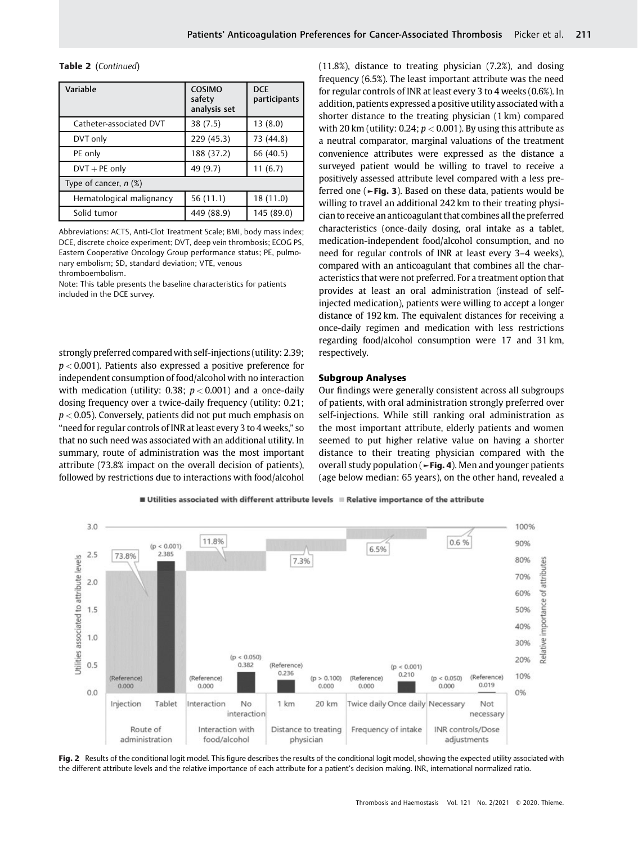Table 2 (Continued)

| Variable                 | COSIMO<br>safety<br>analysis set | <b>DCE</b><br>participants |
|--------------------------|----------------------------------|----------------------------|
| Catheter-associated DVT  | 38 (7.5)                         | 13(8.0)                    |
| DVT only                 | 229 (45.3)                       | 73 (44.8)                  |
| PE only                  | 188 (37.2)                       | 66 (40.5)                  |
| $DVT + PE$ only          | 49 (9.7)                         | 11(6.7)                    |
| Type of cancer, $n$ (%)  |                                  |                            |
| Hematological malignancy | 56 (11.1)                        | 18 (11.0)                  |
| Solid tumor              | 449 (88.9)                       | 145 (89.0)                 |

Abbreviations: ACTS, Anti-Clot Treatment Scale; BMI, body mass index; DCE, discrete choice experiment; DVT, deep vein thrombosis; ECOG PS, Eastern Cooperative Oncology Group performance status; PE, pulmonary embolism; SD, standard deviation; VTE, venous

thromboembolism.

Note: This table presents the baseline characteristics for patients included in the DCE survey.

strongly preferred comparedwith self-injections (utility: 2.39;  $p < 0.001$ ). Patients also expressed a positive preference for independent consumption of food/alcohol with no interaction with medication (utility: 0.38;  $p < 0.001$ ) and a once-daily dosing frequency over a twice-daily frequency (utility: 0.21;  $p < 0.05$ ). Conversely, patients did not put much emphasis on "need for regular controls of INR at least every 3 to 4 weeks," so that no such need was associated with an additional utility. In summary, route of administration was the most important attribute (73.8% impact on the overall decision of patients), followed by restrictions due to interactions with food/alcohol (11.8%), distance to treating physician (7.2%), and dosing frequency (6.5%). The least important attribute was the need for regular controls of INR at least every 3 to 4 weeks (0.6%). In addition, patients expressed a positive utility associated with a shorter distance to the treating physician (1 km) compared with 20 km (utility: 0.24;  $p < 0.001$ ). By using this attribute as a neutral comparator, marginal valuations of the treatment convenience attributes were expressed as the distance a surveyed patient would be willing to travel to receive a positively assessed attribute level compared with a less preferred one ( $\blacktriangleright$ Fig. 3). Based on these data, patients would be willing to travel an additional 242 km to their treating physician to receive an anticoagulant that combines all the preferred characteristics (once-daily dosing, oral intake as a tablet, medication-independent food/alcohol consumption, and no need for regular controls of INR at least every 3–4 weeks), compared with an anticoagulant that combines all the characteristics that were not preferred. For a treatment option that provides at least an oral administration (instead of selfinjected medication), patients were willing to accept a longer distance of 192 km. The equivalent distances for receiving a once-daily regimen and medication with less restrictions regarding food/alcohol consumption were 17 and 31 km, respectively.

#### Subgroup Analyses

Our findings were generally consistent across all subgroups of patients, with oral administration strongly preferred over self-injections. While still ranking oral administration as the most important attribute, elderly patients and women seemed to put higher relative value on having a shorter distance to their treating physician compared with the overall study population (►Fig. 4). Men and younger patients (age below median: 65 years), on the other hand, revealed a



Utilities associated with different attribute levels III Relative importance of the attribute

Fig. 2 Results of the conditional logit model. This figure describes the results of the conditional logit model, showing the expected utility associated with the different attribute levels and the relative importance of each attribute for a patient's decision making. INR, international normalized ratio.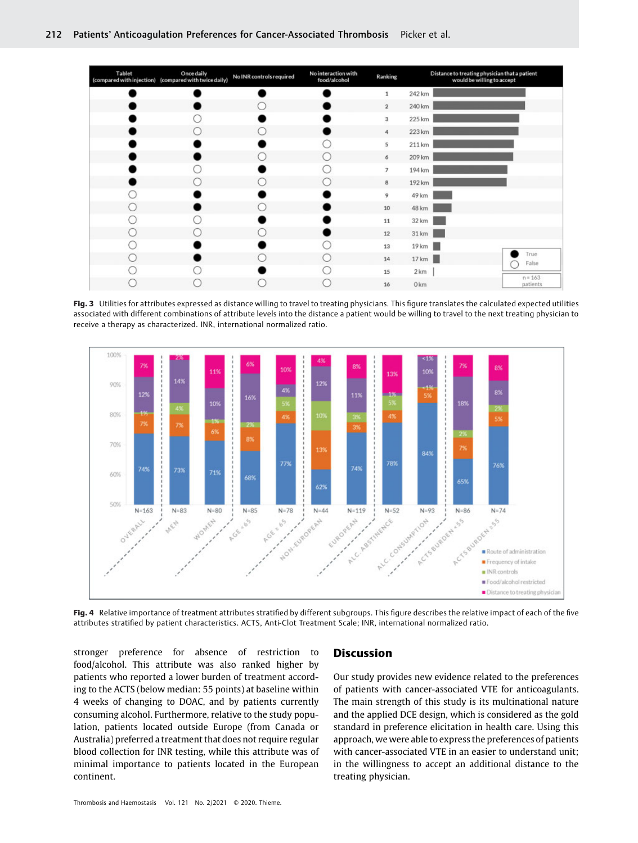

Fig. 3 Utilities for attributes expressed as distance willing to travel to treating physicians. This figure translates the calculated expected utilities associated with different combinations of attribute levels into the distance a patient would be willing to travel to the next treating physician to receive a therapy as characterized. INR, international normalized ratio.



Fig. 4 Relative importance of treatment attributes stratified by different subgroups. This figure describes the relative impact of each of the five attributes stratified by patient characteristics. ACTS, Anti-Clot Treatment Scale; INR, international normalized ratio.

stronger preference for absence of restriction to food/alcohol. This attribute was also ranked higher by patients who reported a lower burden of treatment according to the ACTS (below median: 55 points) at baseline within 4 weeks of changing to DOAC, and by patients currently consuming alcohol. Furthermore, relative to the study population, patients located outside Europe (from Canada or Australia) preferred a treatment that does not require regular blood collection for INR testing, while this attribute was of minimal importance to patients located in the European continent.

#### Discussion

Our study provides new evidence related to the preferences of patients with cancer-associated VTE for anticoagulants. The main strength of this study is its multinational nature and the applied DCE design, which is considered as the gold standard in preference elicitation in health care. Using this approach, we were able to express the preferences of patients with cancer-associated VTE in an easier to understand unit; in the willingness to accept an additional distance to the treating physician.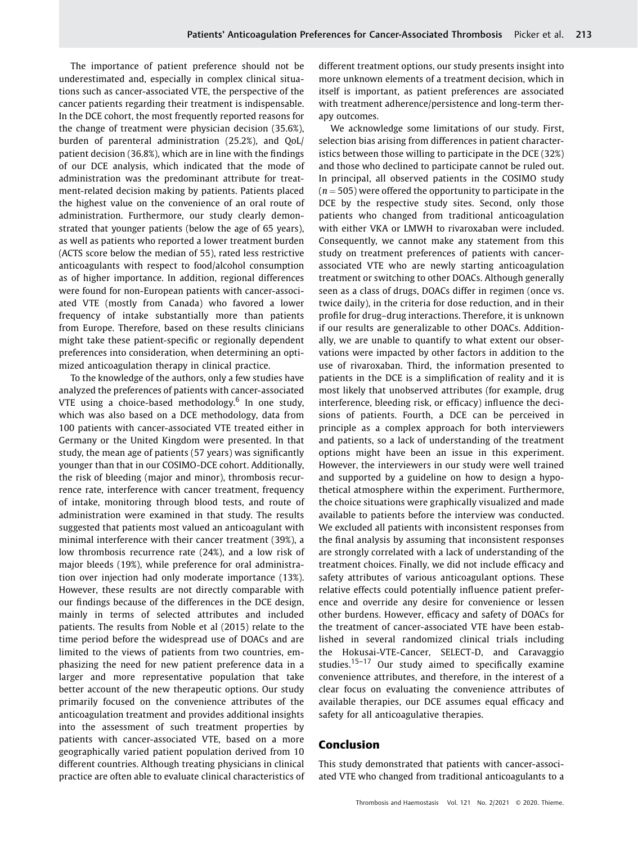The importance of patient preference should not be underestimated and, especially in complex clinical situations such as cancer-associated VTE, the perspective of the cancer patients regarding their treatment is indispensable. In the DCE cohort, the most frequently reported reasons for the change of treatment were physician decision (35.6%), burden of parenteral administration (25.2%), and QoL/ patient decision (36.8%), which are in line with the findings of our DCE analysis, which indicated that the mode of administration was the predominant attribute for treatment-related decision making by patients. Patients placed the highest value on the convenience of an oral route of administration. Furthermore, our study clearly demonstrated that younger patients (below the age of 65 years), as well as patients who reported a lower treatment burden (ACTS score below the median of 55), rated less restrictive anticoagulants with respect to food/alcohol consumption as of higher importance. In addition, regional differences were found for non-European patients with cancer-associated VTE (mostly from Canada) who favored a lower frequency of intake substantially more than patients from Europe. Therefore, based on these results clinicians might take these patient-specific or regionally dependent preferences into consideration, when determining an optimized anticoagulation therapy in clinical practice.

To the knowledge of the authors, only a few studies have analyzed the preferences of patients with cancer-associated VTE using a choice-based methodology. $6$  In one study, which was also based on a DCE methodology, data from 100 patients with cancer-associated VTE treated either in Germany or the United Kingdom were presented. In that study, the mean age of patients (57 years) was significantly younger than that in our COSIMO-DCE cohort. Additionally, the risk of bleeding (major and minor), thrombosis recurrence rate, interference with cancer treatment, frequency of intake, monitoring through blood tests, and route of administration were examined in that study. The results suggested that patients most valued an anticoagulant with minimal interference with their cancer treatment (39%), a low thrombosis recurrence rate (24%), and a low risk of major bleeds (19%), while preference for oral administration over injection had only moderate importance (13%). However, these results are not directly comparable with our findings because of the differences in the DCE design, mainly in terms of selected attributes and included patients. The results from Noble et al (2015) relate to the time period before the widespread use of DOACs and are limited to the views of patients from two countries, emphasizing the need for new patient preference data in a larger and more representative population that take better account of the new therapeutic options. Our study primarily focused on the convenience attributes of the anticoagulation treatment and provides additional insights into the assessment of such treatment properties by patients with cancer-associated VTE, based on a more geographically varied patient population derived from 10 different countries. Although treating physicians in clinical practice are often able to evaluate clinical characteristics of different treatment options, our study presents insight into more unknown elements of a treatment decision, which in itself is important, as patient preferences are associated with treatment adherence/persistence and long-term therapy outcomes.

We acknowledge some limitations of our study. First, selection bias arising from differences in patient characteristics between those willing to participate in the DCE (32%) and those who declined to participate cannot be ruled out. In principal, all observed patients in the COSIMO study  $(n = 505)$  were offered the opportunity to participate in the DCE by the respective study sites. Second, only those patients who changed from traditional anticoagulation with either VKA or LMWH to rivaroxaban were included. Consequently, we cannot make any statement from this study on treatment preferences of patients with cancerassociated VTE who are newly starting anticoagulation treatment or switching to other DOACs. Although generally seen as a class of drugs, DOACs differ in regimen (once vs. twice daily), in the criteria for dose reduction, and in their profile for drug–drug interactions. Therefore, it is unknown if our results are generalizable to other DOACs. Additionally, we are unable to quantify to what extent our observations were impacted by other factors in addition to the use of rivaroxaban. Third, the information presented to patients in the DCE is a simplification of reality and it is most likely that unobserved attributes (for example, drug interference, bleeding risk, or efficacy) influence the decisions of patients. Fourth, a DCE can be perceived in principle as a complex approach for both interviewers and patients, so a lack of understanding of the treatment options might have been an issue in this experiment. However, the interviewers in our study were well trained and supported by a guideline on how to design a hypothetical atmosphere within the experiment. Furthermore, the choice situations were graphically visualized and made available to patients before the interview was conducted. We excluded all patients with inconsistent responses from the final analysis by assuming that inconsistent responses are strongly correlated with a lack of understanding of the treatment choices. Finally, we did not include efficacy and safety attributes of various anticoagulant options. These relative effects could potentially influence patient preference and override any desire for convenience or lessen other burdens. However, efficacy and safety of DOACs for the treatment of cancer-associated VTE have been established in several randomized clinical trials including the Hokusai-VTE-Cancer, SELECT-D, and Caravaggio studies. $15-17$  Our study aimed to specifically examine convenience attributes, and therefore, in the interest of a clear focus on evaluating the convenience attributes of available therapies, our DCE assumes equal efficacy and safety for all anticoagulative therapies.

#### Conclusion

This study demonstrated that patients with cancer-associated VTE who changed from traditional anticoagulants to a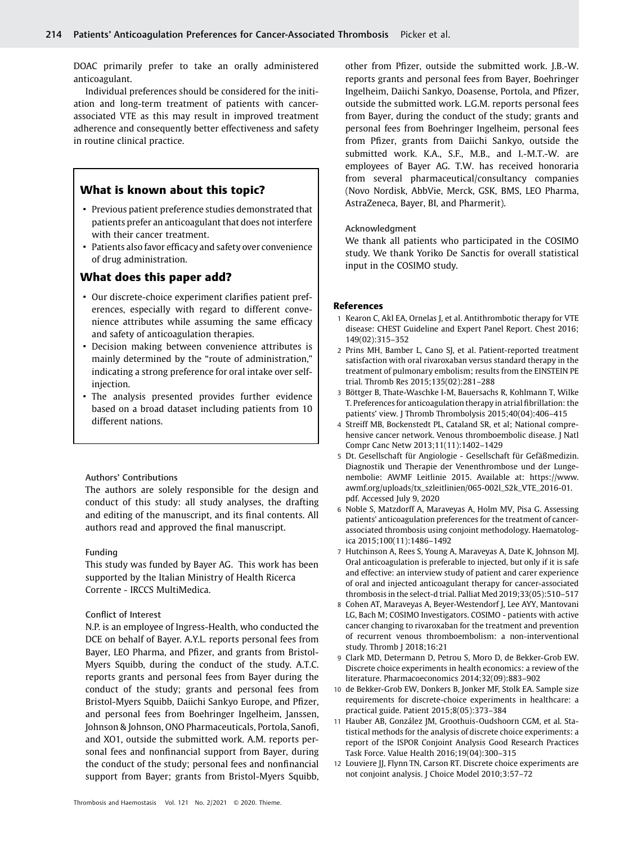DOAC primarily prefer to take an orally administered anticoagulant.

Individual preferences should be considered for the initiation and long-term treatment of patients with cancerassociated VTE as this may result in improved treatment adherence and consequently better effectiveness and safety in routine clinical practice.

### What is known about this topic?

- Previous patient preference studies demonstrated that patients prefer an anticoagulant that does not interfere with their cancer treatment.
- Patients also favor efficacy and safety over convenience of drug administration.

#### What does this paper add?

- Our discrete-choice experiment clarifies patient preferences, especially with regard to different convenience attributes while assuming the same efficacy and safety of anticoagulation therapies.
- Decision making between convenience attributes is mainly determined by the "route of administration," indicating a strong preference for oral intake over selfinjection.
- The analysis presented provides further evidence based on a broad dataset including patients from 10 different nations.

#### Authors' Contributions

The authors are solely responsible for the design and conduct of this study: all study analyses, the drafting and editing of the manuscript, and its final contents. All authors read and approved the final manuscript.

#### Funding

This study was funded by Bayer AG. This work has been supported by the Italian Ministry of Health Ricerca Corrente - IRCCS MultiMedica.

#### Conflict of Interest

N.P. is an employee of Ingress-Health, who conducted the DCE on behalf of Bayer. A.Y.L. reports personal fees from Bayer, LEO Pharma, and Pfizer, and grants from Bristol-Myers Squibb, during the conduct of the study. A.T.C. reports grants and personal fees from Bayer during the conduct of the study; grants and personal fees from Bristol-Myers Squibb, Daiichi Sankyo Europe, and Pfizer, and personal fees from Boehringer Ingelheim, Janssen, Johnson & Johnson, ONO Pharmaceuticals, Portola, Sanofi, and XO1, outside the submitted work. A.M. reports personal fees and nonfinancial support from Bayer, during the conduct of the study; personal fees and nonfinancial support from Bayer; grants from Bristol-Myers Squibb, other from Pfizer, outside the submitted work. J.B.-W. reports grants and personal fees from Bayer, Boehringer Ingelheim, Daiichi Sankyo, Doasense, Portola, and Pfizer, outside the submitted work. L.G.M. reports personal fees from Bayer, during the conduct of the study; grants and personal fees from Boehringer Ingelheim, personal fees from Pfizer, grants from Daiichi Sankyo, outside the submitted work. K.A., S.F., M.B., and I.-M.T.-W. are employees of Bayer AG. T.W. has received honoraria from several pharmaceutical/consultancy companies (Novo Nordisk, AbbVie, Merck, GSK, BMS, LEO Pharma, AstraZeneca, Bayer, BI, and Pharmerit).

#### Acknowledgment

We thank all patients who participated in the COSIMO study. We thank Yoriko De Sanctis for overall statistical input in the COSIMO study.

#### References

- 1 Kearon C, Akl EA, Ornelas J, et al. Antithrombotic therapy for VTE disease: CHEST Guideline and Expert Panel Report. Chest 2016; 149(02):315–352
- 2 Prins MH, Bamber L, Cano SJ, et al. Patient-reported treatment satisfaction with oral rivaroxaban versus standard therapy in the treatment of pulmonary embolism; results from the EINSTEIN PE trial. Thromb Res 2015;135(02):281–288
- 3 Böttger B, Thate-Waschke I-M, Bauersachs R, Kohlmann T, Wilke T. Preferences for anticoagulation therapy in atrial fibrillation: the patients' view. J Thromb Thrombolysis 2015;40(04):406–415
- 4 Streiff MB, Bockenstedt PL, Cataland SR, et al; National comprehensive cancer network. Venous thromboembolic disease. J Natl Compr Canc Netw 2013;11(11):1402–1429
- 5 Dt. Gesellschaft für Angiologie Gesellschaft für Gefäßmedizin. Diagnostik und Therapie der Venenthrombose und der Lungenembolie: AWMF Leitlinie 2015. Available at: [https://www.](https://www.awmf.org/uploads/tx_szleitlinien/065-002l_S2k_VTE_2016-01.pdf) [awmf.org/uploads/tx\\_szleitlinien/065-002l\\_S2k\\_VTE\\_2016-01.](https://www.awmf.org/uploads/tx_szleitlinien/065-002l_S2k_VTE_2016-01.pdf) [pdf.](https://www.awmf.org/uploads/tx_szleitlinien/065-002l_S2k_VTE_2016-01.pdf) Accessed July 9, 2020
- 6 Noble S, Matzdorff A, Maraveyas A, Holm MV, Pisa G. Assessing patients' anticoagulation preferences for the treatment of cancerassociated thrombosis using conjoint methodology. Haematologica 2015;100(11):1486–1492
- 7 Hutchinson A, Rees S, Young A, Maraveyas A, Date K, Johnson MJ. Oral anticoagulation is preferable to injected, but only if it is safe and effective: an interview study of patient and carer experience of oral and injected anticoagulant therapy for cancer-associated thrombosis in the select-d trial. Palliat Med 2019;33(05):510–517
- 8 Cohen AT, Maraveyas A, Beyer-Westendorf J, Lee AYY, Mantovani LG, Bach M; COSIMO Investigators. COSIMO - patients with active cancer changing to rivaroxaban for the treatment and prevention of recurrent venous thromboembolism: a non-interventional study. Thromb J 2018;16:21
- 9 Clark MD, Determann D, Petrou S, Moro D, de Bekker-Grob EW. Discrete choice experiments in health economics: a review of the literature. Pharmacoeconomics 2014;32(09):883–902
- 10 de Bekker-Grob EW, Donkers B, Jonker MF, Stolk EA. Sample size requirements for discrete-choice experiments in healthcare: a practical guide. Patient 2015;8(05):373–384
- 11 Hauber AB, González JM, Groothuis-Oudshoorn CGM, et al. Statistical methods for the analysis of discrete choice experiments: a report of the ISPOR Conjoint Analysis Good Research Practices Task Force. Value Health 2016;19(04):300–315
- 12 Louviere JJ, Flynn TN, Carson RT. Discrete choice experiments are not conjoint analysis. J Choice Model 2010;3:57–72